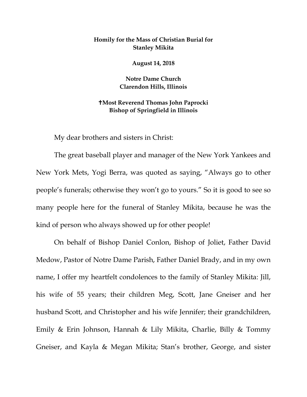## **Homily for the Mass of Christian Burial for Stanley Mikita**

**August 14, 2018**

**Notre Dame Church Clarendon Hills, Illinois**

## **Most Reverend Thomas John Paprocki Bishop of Springfield in Illinois**

My dear brothers and sisters in Christ:

The great baseball player and manager of the New York Yankees and New York Mets, Yogi Berra, was quoted as saying, "Always go to other people's funerals; otherwise they won't go to yours." So it is good to see so many people here for the funeral of Stanley Mikita, because he was the kind of person who always showed up for other people!

On behalf of Bishop Daniel Conlon, Bishop of Joliet, Father David Medow, Pastor of Notre Dame Parish, Father Daniel Brady, and in my own name, I offer my heartfelt condolences to the family of Stanley Mikita: Jill, his wife of 55 years; their children Meg, Scott, Jane Gneiser and her husband Scott, and Christopher and his wife Jennifer; their grandchildren, Emily & Erin Johnson, Hannah & Lily Mikita, Charlie, Billy & Tommy Gneiser, and Kayla & Megan Mikita; Stan's brother, George, and sister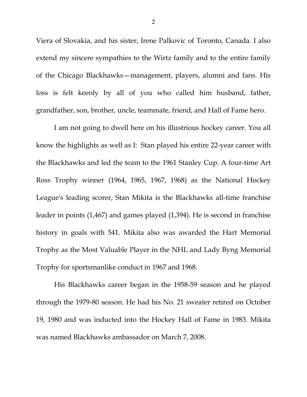Viera of Slovakia, and his sister, Irene Palkovic of Toronto, Canada. I also extend my sincere sympathies to the Wirtz family and to the entire family of the Chicago Blackhawks—management, players, alumni and fans. His loss is felt keenly by all of you who called him husband, father, grandfather, son, brother, uncle, teammate, friend, and Hall of Fame hero.

I am not going to dwell here on his illustrious hockey career. You all know the highlights as well as I: Stan played his entire 22-year career with the Blackhawks and led the team to the 1961 Stanley Cup. A four-time Art Ross Trophy winner (1964, 1965, 1967, 1968) as the National Hockey League's leading scorer, Stan Mikita is the Blackhawks all-time franchise leader in points (1,467) and games played (1,394). He is second in franchise history in goals with 541. Mikita also was awarded the Hart Memorial Trophy as the Most Valuable Player in the NHL and Lady Byng Memorial Trophy for sportsmanlike conduct in 1967 and 1968.

His Blackhawks career began in the 1958-59 season and he played through the 1979-80 season. He had his No. 21 sweater retired on October 19, 1980 and was inducted into the Hockey Hall of Fame in 1983. Mikita was named Blackhawks ambassador on March 7, 2008.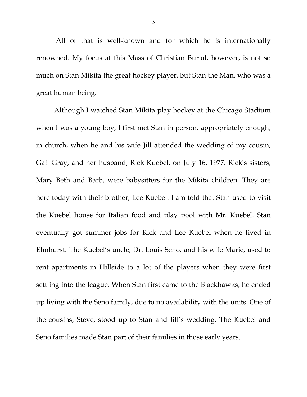All of that is well-known and for which he is internationally renowned. My focus at this Mass of Christian Burial, however, is not so much on Stan Mikita the great hockey player, but Stan the Man, who was a great human being.

Although I watched Stan Mikita play hockey at the Chicago Stadium when I was a young boy, I first met Stan in person, appropriately enough, in church, when he and his wife Jill attended the wedding of my cousin, Gail Gray, and her husband, Rick Kuebel, on July 16, 1977. Rick's sisters, Mary Beth and Barb, were babysitters for the Mikita children. They are here today with their brother, Lee Kuebel. I am told that Stan used to visit the Kuebel house for Italian food and play pool with Mr. Kuebel. Stan eventually got summer jobs for Rick and Lee Kuebel when he lived in Elmhurst. The Kuebel's uncle, Dr. Louis Seno, and his wife Marie, used to rent apartments in Hillside to a lot of the players when they were first settling into the league. When Stan first came to the Blackhawks, he ended up living with the Seno family, due to no availability with the units. One of the cousins, Steve, stood up to Stan and Jill's wedding. The Kuebel and Seno families made Stan part of their families in those early years.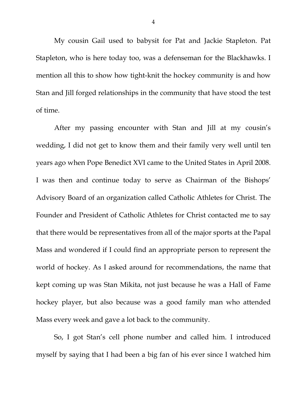My cousin Gail used to babysit for Pat and Jackie Stapleton. Pat Stapleton, who is here today too, was a defenseman for the Blackhawks. I mention all this to show how tight-knit the hockey community is and how Stan and Jill forged relationships in the community that have stood the test of time.

After my passing encounter with Stan and Jill at my cousin's wedding, I did not get to know them and their family very well until ten years ago when Pope Benedict XVI came to the United States in April 2008. I was then and continue today to serve as Chairman of the Bishops' Advisory Board of an organization called Catholic Athletes for Christ. The Founder and President of Catholic Athletes for Christ contacted me to say that there would be representatives from all of the major sports at the Papal Mass and wondered if I could find an appropriate person to represent the world of hockey. As I asked around for recommendations, the name that kept coming up was Stan Mikita, not just because he was a Hall of Fame hockey player, but also because was a good family man who attended Mass every week and gave a lot back to the community.

So, I got Stan's cell phone number and called him. I introduced myself by saying that I had been a big fan of his ever since I watched him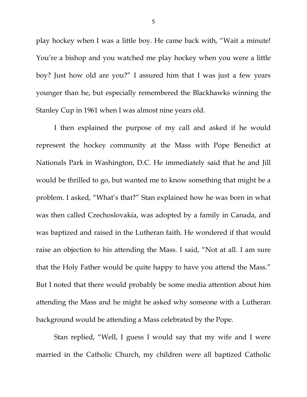play hockey when I was a little boy. He came back with, "Wait a minute! You're a bishop and you watched me play hockey when you were a little boy? Just how old are you?" I assured him that I was just a few years younger than he, but especially remembered the Blackhawks winning the Stanley Cup in 1961 when I was almost nine years old.

I then explained the purpose of my call and asked if he would represent the hockey community at the Mass with Pope Benedict at Nationals Park in Washington, D.C. He immediately said that he and Jill would be thrilled to go, but wanted me to know something that might be a problem. I asked, "What's that?" Stan explained how he was born in what was then called Czechoslovakia, was adopted by a family in Canada, and was baptized and raised in the Lutheran faith. He wondered if that would raise an objection to his attending the Mass. I said, "Not at all. I am sure that the Holy Father would be quite happy to have you attend the Mass." But I noted that there would probably be some media attention about him attending the Mass and he might be asked why someone with a Lutheran background would be attending a Mass celebrated by the Pope.

Stan replied, "Well, I guess I would say that my wife and I were married in the Catholic Church, my children were all baptized Catholic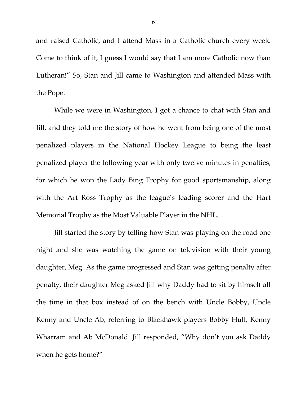and raised Catholic, and I attend Mass in a Catholic church every week. Come to think of it, I guess I would say that I am more Catholic now than Lutheran!" So, Stan and Jill came to Washington and attended Mass with the Pope.

While we were in Washington, I got a chance to chat with Stan and Jill, and they told me the story of how he went from being one of the most penalized players in the National Hockey League to being the least penalized player the following year with only twelve minutes in penalties, for which he won the Lady Bing Trophy for good sportsmanship, along with the Art Ross Trophy as the league's leading scorer and the Hart Memorial Trophy as the Most Valuable Player in the NHL.

Jill started the story by telling how Stan was playing on the road one night and she was watching the game on television with their young daughter, Meg. As the game progressed and Stan was getting penalty after penalty, their daughter Meg asked Jill why Daddy had to sit by himself all the time in that box instead of on the bench with Uncle Bobby, Uncle Kenny and Uncle Ab, referring to Blackhawk players Bobby Hull, Kenny Wharram and Ab McDonald. Jill responded, "Why don't you ask Daddy when he gets home?"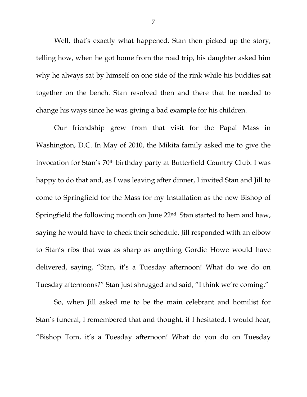Well, that's exactly what happened. Stan then picked up the story, telling how, when he got home from the road trip, his daughter asked him why he always sat by himself on one side of the rink while his buddies sat together on the bench. Stan resolved then and there that he needed to change his ways since he was giving a bad example for his children.

Our friendship grew from that visit for the Papal Mass in Washington, D.C. In May of 2010, the Mikita family asked me to give the invocation for Stan's 70<sup>th</sup> birthday party at Butterfield Country Club. I was happy to do that and, as I was leaving after dinner, I invited Stan and Jill to come to Springfield for the Mass for my Installation as the new Bishop of Springfield the following month on June 22nd. Stan started to hem and haw, saying he would have to check their schedule. Jill responded with an elbow to Stan's ribs that was as sharp as anything Gordie Howe would have delivered, saying, "Stan, it's a Tuesday afternoon! What do we do on Tuesday afternoons?" Stan just shrugged and said, "I think we're coming."

So, when Jill asked me to be the main celebrant and homilist for Stan's funeral, I remembered that and thought, if I hesitated, I would hear, "Bishop Tom, it's a Tuesday afternoon! What do you do on Tuesday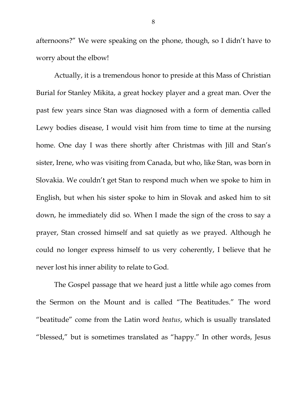afternoons?" We were speaking on the phone, though, so I didn't have to worry about the elbow!

Actually, it is a tremendous honor to preside at this Mass of Christian Burial for Stanley Mikita, a great hockey player and a great man. Over the past few years since Stan was diagnosed with a form of dementia called Lewy bodies disease, I would visit him from time to time at the nursing home. One day I was there shortly after Christmas with Jill and Stan's sister, Irene, who was visiting from Canada, but who, like Stan, was born in Slovakia. We couldn't get Stan to respond much when we spoke to him in English, but when his sister spoke to him in Slovak and asked him to sit down, he immediately did so. When I made the sign of the cross to say a prayer, Stan crossed himself and sat quietly as we prayed. Although he could no longer express himself to us very coherently, I believe that he never lost his inner ability to relate to God.

The Gospel passage that we heard just a little while ago comes from the Sermon on the Mount and is called "The Beatitudes." The word "beatitude" come from the Latin word *beatus*, which is usually translated "blessed," but is sometimes translated as "happy." In other words, Jesus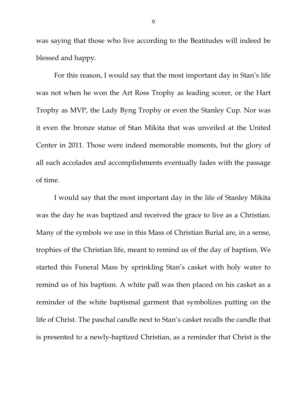was saying that those who live according to the Beatitudes will indeed be blessed and happy.

For this reason, I would say that the most important day in Stan's life was not when he won the Art Ross Trophy as leading scorer, or the Hart Trophy as MVP, the Lady Byng Trophy or even the Stanley Cup. Nor was it even the bronze statue of Stan Mikita that was unveiled at the United Center in 2011. Those were indeed memorable moments, but the glory of all such accolades and accomplishments eventually fades with the passage of time.

I would say that the most important day in the life of Stanley Mikita was the day he was baptized and received the grace to live as a Christian. Many of the symbols we use in this Mass of Christian Burial are, in a sense, trophies of the Christian life, meant to remind us of the day of baptism. We started this Funeral Mass by sprinkling Stan's casket with holy water to remind us of his baptism. A white pall was then placed on his casket as a reminder of the white baptismal garment that symbolizes putting on the life of Christ. The paschal candle next to Stan's casket recalls the candle that is presented to a newly-baptized Christian, as a reminder that Christ is the